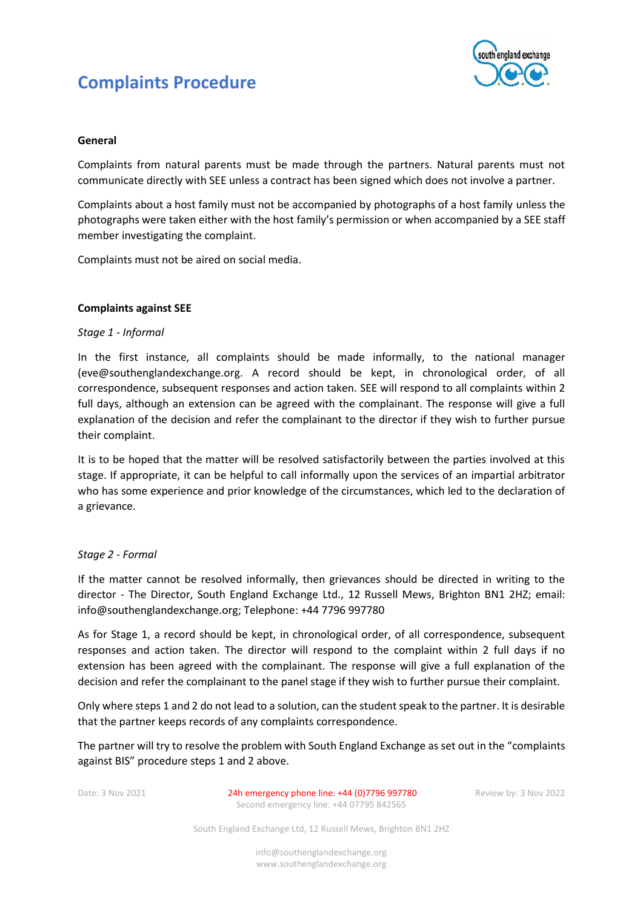# **Complaints Procedure**



### **General**

Complaints from natural parents must be made through the partners. Natural parents must not communicate directly with SEE unless a contract has been signed which does not involve a partner.

Complaints about a host family must not be accompanied by photographs of a host family unless the photographs were taken either with the host family's permission or when accompanied by a SEE staff member investigating the complaint.

Complaints must not be aired on social media.

# **Complaints against SEE**

### *Stage 1 - Informal*

In the first instance, all complaints should be made informally, to the national manager [\(eve@southenglandexchange.org.](mailto:eve@southenglandexchange.org) A record should be kept, in chronological order, of all correspondence, subsequent responses and action taken. SEE will respond to all complaints within 2 full days, although an extension can be agreed with the complainant. The response will give a full explanation of the decision and refer the complainant to the director if they wish to further pursue their complaint.

It is to be hoped that the matter will be resolved satisfactorily between the parties involved at this stage. If appropriate, it can be helpful to call informally upon the services of an impartial arbitrator who has some experience and prior knowledge of the circumstances, which led to the declaration of a grievance.

### *Stage 2 - Formal*

If the matter cannot be resolved informally, then grievances should be directed in writing to the director - The Director, South England Exchange Ltd., 12 Russell Mews, Brighton BN1 2HZ; email: [info@southenglandexchange.org;](mailto:info@southenglandexchange.org) Telephone: +44 7796 997780

As for Stage 1, a record should be kept, in chronological order, of all correspondence, subsequent responses and action taken. The director will respond to the complaint within 2 full days if no extension has been agreed with the complainant. The response will give a full explanation of the decision and refer the complainant to the panel stage if they wish to further pursue their complaint.

Only where steps 1 and 2 do not lead to a solution, can the student speak to the partner. It is desirable that the partner keeps records of any complaints correspondence.

The partner will try to resolve the problem with South England Exchange as set out in the "complaints against BIS" procedure steps 1 and 2 above.

Date: 3 Nov 2021 24h emergency phone line: +44 (0)7796 997780 Review by: 3 Nov 2022 Second emergency line: +44 07795 842565

South England Exchange Ltd, 12 Russell Mews, Brighton BN1 2HZ

info@southenglandexchange.org www.southenglandexchange.org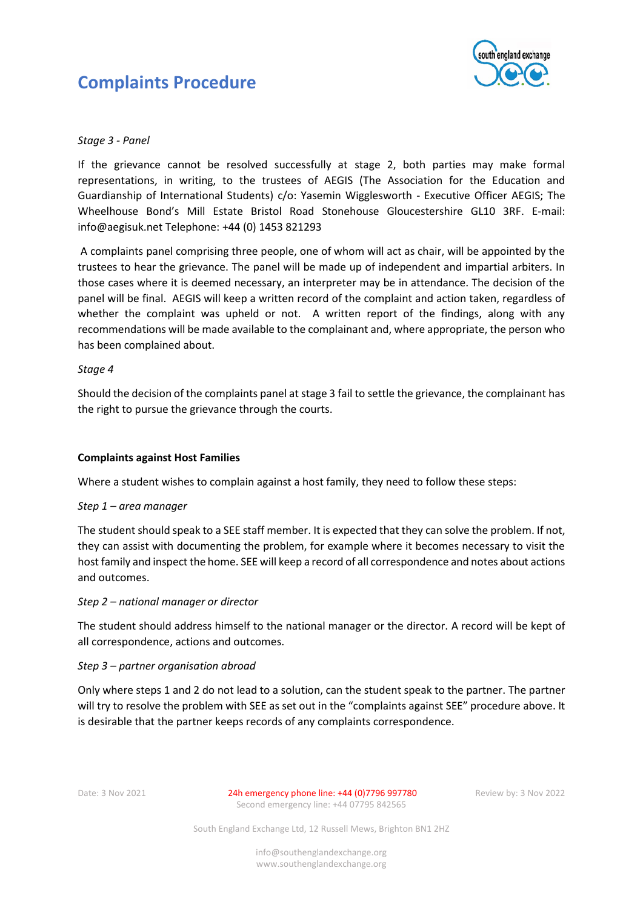



# *Stage 3 - Panel*

If the grievance cannot be resolved successfully at stage 2, both parties may make formal representations, in writing, to the trustees of AEGIS (The Association for the Education and Guardianship of International Students) c/o: Yasemin Wigglesworth - Executive Officer AEGIS; The Wheelhouse Bond's Mill Estate Bristol Road Stonehouse Gloucestershire GL10 3RF. E-mail: info@aegisuk.net Telephone: +44 (0) 1453 821293

A complaints panel comprising three people, one of whom will act as chair, will be appointed by the trustees to hear the grievance. The panel will be made up of independent and impartial arbiters. In those cases where it is deemed necessary, an interpreter may be in attendance. The decision of the panel will be final. AEGIS will keep a written record of the complaint and action taken, regardless of whether the complaint was upheld or not. A written report of the findings, along with any recommendations will be made available to the complainant and, where appropriate, the person who has been complained about.

### *Stage 4*

Should the decision of the complaints panel at stage 3 fail to settle the grievance, the complainant has the right to pursue the grievance through the courts.

### **Complaints against Host Families**

Where a student wishes to complain against a host family, they need to follow these steps:

### *Step 1 – area manager*

The student should speak to a SEE staff member. It is expected that they can solve the problem. If not, they can assist with documenting the problem, for example where it becomes necessary to visit the host family and inspect the home. SEE will keep a record of all correspondence and notes about actions and outcomes.

#### *Step 2 – national manager or director*

The student should address himself to the national manager or the director. A record will be kept of all correspondence, actions and outcomes.

#### *Step 3 – partner organisation abroad*

Only where steps 1 and 2 do not lead to a solution, can the student speak to the partner. The partner will try to resolve the problem with SEE as set out in the "complaints against SEE" procedure above. It is desirable that the partner keeps records of any complaints correspondence.

Date: 3 Nov 2021 24h emergency phone line: +44 (0)7796 997780 Review by: 3 Nov 2022 Second emergency line: +44 07795 842565

South England Exchange Ltd, 12 Russell Mews, Brighton BN1 2HZ

info@southenglandexchange.org www.southenglandexchange.org